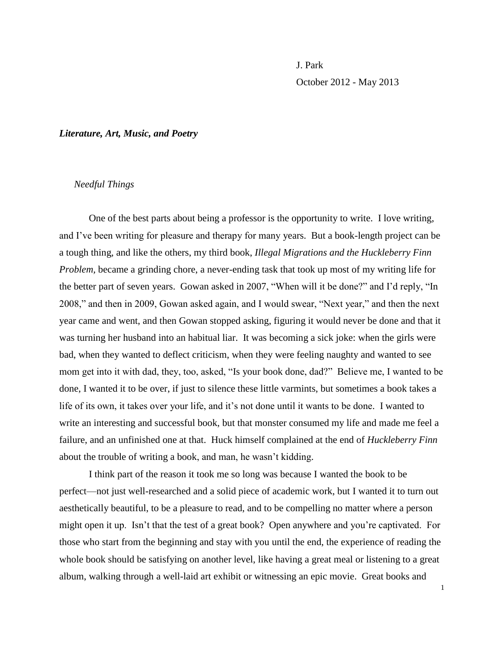J. Park October 2012 - May 2013

## *Literature, Art, Music, and Poetry*

## *Needful Things*

One of the best parts about being a professor is the opportunity to write. I love writing, and I've been writing for pleasure and therapy for many years. But a book-length project can be a tough thing, and like the others, my third book, *Illegal Migrations and the Huckleberry Finn Problem,* became a grinding chore, a never-ending task that took up most of my writing life for the better part of seven years. Gowan asked in 2007, "When will it be done?" and I'd reply, "In 2008," and then in 2009, Gowan asked again, and I would swear, "Next year," and then the next year came and went, and then Gowan stopped asking, figuring it would never be done and that it was turning her husband into an habitual liar. It was becoming a sick joke: when the girls were bad, when they wanted to deflect criticism, when they were feeling naughty and wanted to see mom get into it with dad, they, too, asked, "Is your book done, dad?" Believe me, I wanted to be done, I wanted it to be over, if just to silence these little varmints, but sometimes a book takes a life of its own, it takes over your life, and it's not done until it wants to be done. I wanted to write an interesting and successful book, but that monster consumed my life and made me feel a failure, and an unfinished one at that. Huck himself complained at the end of *Huckleberry Finn* about the trouble of writing a book, and man, he wasn't kidding.

I think part of the reason it took me so long was because I wanted the book to be perfect—not just well-researched and a solid piece of academic work, but I wanted it to turn out aesthetically beautiful, to be a pleasure to read, and to be compelling no matter where a person might open it up. Isn't that the test of a great book? Open anywhere and you're captivated. For those who start from the beginning and stay with you until the end, the experience of reading the whole book should be satisfying on another level, like having a great meal or listening to a great album, walking through a well-laid art exhibit or witnessing an epic movie. Great books and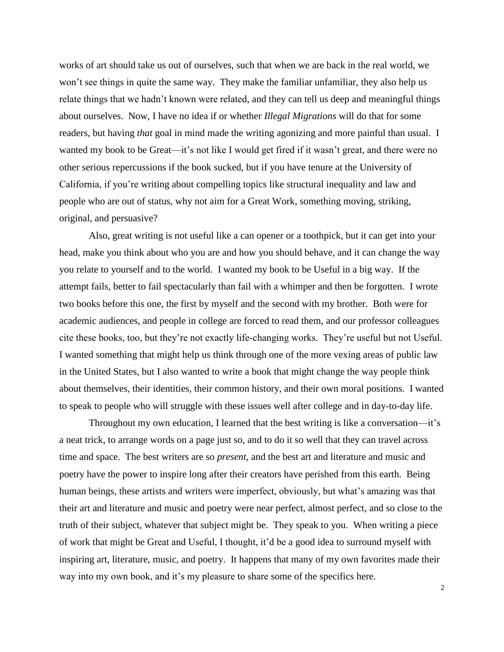works of art should take us out of ourselves, such that when we are back in the real world, we won't see things in quite the same way. They make the familiar unfamiliar, they also help us relate things that we hadn't known were related, and they can tell us deep and meaningful things about ourselves. Now, I have no idea if or whether *Illegal Migrations* will do that for some readers, but having *that* goal in mind made the writing agonizing and more painful than usual. I wanted my book to be Great—it's not like I would get fired if it wasn't great, and there were no other serious repercussions if the book sucked, but if you have tenure at the University of California, if you're writing about compelling topics like structural inequality and law and people who are out of status, why not aim for a Great Work, something moving, striking, original, and persuasive?

Also, great writing is not useful like a can opener or a toothpick, but it can get into your head, make you think about who you are and how you should behave, and it can change the way you relate to yourself and to the world. I wanted my book to be Useful in a big way. If the attempt fails, better to fail spectacularly than fail with a whimper and then be forgotten. I wrote two books before this one, the first by myself and the second with my brother. Both were for academic audiences, and people in college are forced to read them, and our professor colleagues cite these books, too, but they're not exactly life-changing works. They're useful but not Useful. I wanted something that might help us think through one of the more vexing areas of public law in the United States, but I also wanted to write a book that might change the way people think about themselves, their identities, their common history, and their own moral positions. I wanted to speak to people who will struggle with these issues well after college and in day-to-day life.

Throughout my own education, I learned that the best writing is like a conversation—it's a neat trick, to arrange words on a page just so, and to do it so well that they can travel across time and space. The best writers are so *present*, and the best art and literature and music and poetry have the power to inspire long after their creators have perished from this earth. Being human beings, these artists and writers were imperfect, obviously, but what's amazing was that their art and literature and music and poetry were near perfect, almost perfect, and so close to the truth of their subject, whatever that subject might be. They speak to you. When writing a piece of work that might be Great and Useful, I thought, it'd be a good idea to surround myself with inspiring art, literature, music, and poetry. It happens that many of my own favorites made their way into my own book, and it's my pleasure to share some of the specifics here.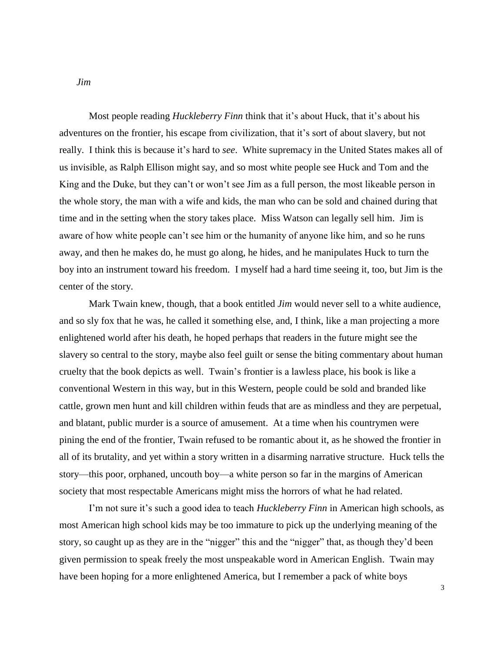Most people reading *Huckleberry Finn* think that it's about Huck, that it's about his adventures on the frontier, his escape from civilization, that it's sort of about slavery, but not really. I think this is because it's hard to *see*. White supremacy in the United States makes all of us invisible, as Ralph Ellison might say, and so most white people see Huck and Tom and the King and the Duke, but they can't or won't see Jim as a full person, the most likeable person in the whole story, the man with a wife and kids, the man who can be sold and chained during that time and in the setting when the story takes place. Miss Watson can legally sell him. Jim is aware of how white people can't see him or the humanity of anyone like him, and so he runs away, and then he makes do, he must go along, he hides, and he manipulates Huck to turn the boy into an instrument toward his freedom. I myself had a hard time seeing it, too, but Jim is the center of the story.

Mark Twain knew, though, that a book entitled *Jim* would never sell to a white audience, and so sly fox that he was, he called it something else, and, I think, like a man projecting a more enlightened world after his death, he hoped perhaps that readers in the future might see the slavery so central to the story, maybe also feel guilt or sense the biting commentary about human cruelty that the book depicts as well. Twain's frontier is a lawless place, his book is like a conventional Western in this way, but in this Western, people could be sold and branded like cattle, grown men hunt and kill children within feuds that are as mindless and they are perpetual, and blatant, public murder is a source of amusement. At a time when his countrymen were pining the end of the frontier, Twain refused to be romantic about it, as he showed the frontier in all of its brutality, and yet within a story written in a disarming narrative structure. Huck tells the story—this poor, orphaned, uncouth boy—a white person so far in the margins of American society that most respectable Americans might miss the horrors of what he had related.

I'm not sure it's such a good idea to teach *Huckleberry Finn* in American high schools, as most American high school kids may be too immature to pick up the underlying meaning of the story, so caught up as they are in the "nigger" this and the "nigger" that, as though they'd been given permission to speak freely the most unspeakable word in American English. Twain may have been hoping for a more enlightened America, but I remember a pack of white boys

*Jim*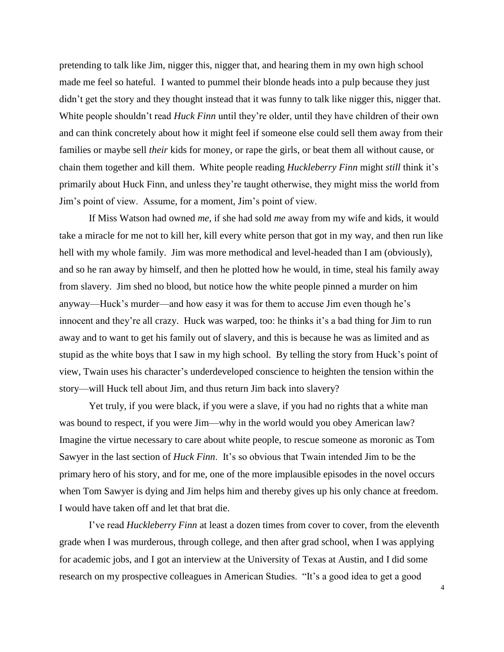pretending to talk like Jim, nigger this, nigger that, and hearing them in my own high school made me feel so hateful. I wanted to pummel their blonde heads into a pulp because they just didn't get the story and they thought instead that it was funny to talk like nigger this, nigger that. White people shouldn't read *Huck Finn* until they're older, until they have children of their own and can think concretely about how it might feel if someone else could sell them away from their families or maybe sell *their* kids for money, or rape the girls, or beat them all without cause, or chain them together and kill them. White people reading *Huckleberry Finn* might *still* think it's primarily about Huck Finn, and unless they're taught otherwise, they might miss the world from Jim's point of view. Assume, for a moment, Jim's point of view.

If Miss Watson had owned *me*, if she had sold *me* away from my wife and kids, it would take a miracle for me not to kill her, kill every white person that got in my way, and then run like hell with my whole family. Jim was more methodical and level-headed than I am (obviously), and so he ran away by himself, and then he plotted how he would, in time, steal his family away from slavery. Jim shed no blood, but notice how the white people pinned a murder on him anyway—Huck's murder—and how easy it was for them to accuse Jim even though he's innocent and they're all crazy. Huck was warped, too: he thinks it's a bad thing for Jim to run away and to want to get his family out of slavery, and this is because he was as limited and as stupid as the white boys that I saw in my high school. By telling the story from Huck's point of view, Twain uses his character's underdeveloped conscience to heighten the tension within the story—will Huck tell about Jim, and thus return Jim back into slavery?

Yet truly, if you were black, if you were a slave, if you had no rights that a white man was bound to respect, if you were Jim—why in the world would you obey American law? Imagine the virtue necessary to care about white people, to rescue someone as moronic as Tom Sawyer in the last section of *Huck Finn*. It's so obvious that Twain intended Jim to be the primary hero of his story, and for me, one of the more implausible episodes in the novel occurs when Tom Sawyer is dying and Jim helps him and thereby gives up his only chance at freedom. I would have taken off and let that brat die.

I've read *Huckleberry Finn* at least a dozen times from cover to cover, from the eleventh grade when I was murderous, through college, and then after grad school, when I was applying for academic jobs, and I got an interview at the University of Texas at Austin, and I did some research on my prospective colleagues in American Studies. "It's a good idea to get a good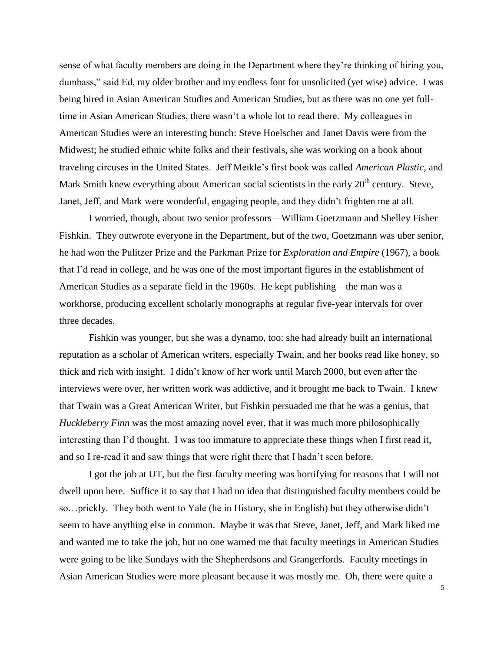sense of what faculty members are doing in the Department where they're thinking of hiring you, dumbass," said Ed, my older brother and my endless font for unsolicited (yet wise) advice. I was being hired in Asian American Studies and American Studies, but as there was no one yet fulltime in Asian American Studies, there wasn't a whole lot to read there. My colleagues in American Studies were an interesting bunch: Steve Hoelscher and Janet Davis were from the Midwest; he studied ethnic white folks and their festivals, she was working on a book about traveling circuses in the United States. Jeff Meikle's first book was called *American Plastic*, and Mark Smith knew everything about American social scientists in the early 20<sup>th</sup> century. Steve, Janet, Jeff, and Mark were wonderful, engaging people, and they didn't frighten me at all.

I worried, though, about two senior professors—William Goetzmann and Shelley Fisher Fishkin. They outwrote everyone in the Department, but of the two, Goetzmann was uber senior, he had won the Pulitzer Prize and the Parkman Prize for *Exploration and Empire* (1967), a book that I'd read in college, and he was one of the most important figures in the establishment of American Studies as a separate field in the 1960s. He kept publishing—the man was a workhorse, producing excellent scholarly monographs at regular five-year intervals for over three decades.

Fishkin was younger, but she was a dynamo, too: she had already built an international reputation as a scholar of American writers, especially Twain, and her books read like honey, so thick and rich with insight. I didn't know of her work until March 2000, but even after the interviews were over, her written work was addictive, and it brought me back to Twain. I knew that Twain was a Great American Writer, but Fishkin persuaded me that he was a genius, that *Huckleberry Finn* was the most amazing novel ever, that it was much more philosophically interesting than I'd thought. I was too immature to appreciate these things when I first read it, and so I re-read it and saw things that were right there that I hadn't seen before.

I got the job at UT, but the first faculty meeting was horrifying for reasons that I will not dwell upon here. Suffice it to say that I had no idea that distinguished faculty members could be so…prickly. They both went to Yale (he in History, she in English) but they otherwise didn't seem to have anything else in common. Maybe it was that Steve, Janet, Jeff, and Mark liked me and wanted me to take the job, but no one warned me that faculty meetings in American Studies were going to be like Sundays with the Shepherdsons and Grangerfords. Faculty meetings in Asian American Studies were more pleasant because it was mostly me. Oh, there were quite a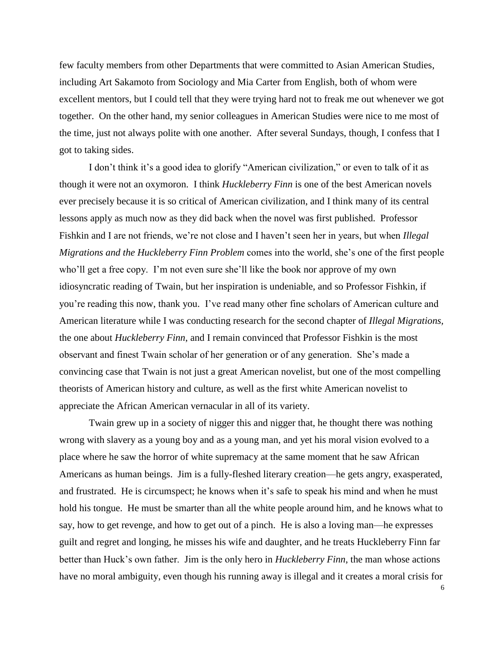few faculty members from other Departments that were committed to Asian American Studies, including Art Sakamoto from Sociology and Mia Carter from English, both of whom were excellent mentors, but I could tell that they were trying hard not to freak me out whenever we got together. On the other hand, my senior colleagues in American Studies were nice to me most of the time, just not always polite with one another. After several Sundays, though, I confess that I got to taking sides.

I don't think it's a good idea to glorify "American civilization," or even to talk of it as though it were not an oxymoron. I think *Huckleberry Finn* is one of the best American novels ever precisely because it is so critical of American civilization, and I think many of its central lessons apply as much now as they did back when the novel was first published. Professor Fishkin and I are not friends, we're not close and I haven't seen her in years, but when *Illegal Migrations and the Huckleberry Finn Problem* comes into the world, she's one of the first people who'll get a free copy. I'm not even sure she'll like the book nor approve of my own idiosyncratic reading of Twain, but her inspiration is undeniable, and so Professor Fishkin, if you're reading this now, thank you. I've read many other fine scholars of American culture and American literature while I was conducting research for the second chapter of *Illegal Migrations,* the one about *Huckleberry Finn*, and I remain convinced that Professor Fishkin is the most observant and finest Twain scholar of her generation or of any generation. She's made a convincing case that Twain is not just a great American novelist, but one of the most compelling theorists of American history and culture, as well as the first white American novelist to appreciate the African American vernacular in all of its variety.

Twain grew up in a society of nigger this and nigger that, he thought there was nothing wrong with slavery as a young boy and as a young man, and yet his moral vision evolved to a place where he saw the horror of white supremacy at the same moment that he saw African Americans as human beings. Jim is a fully-fleshed literary creation—he gets angry, exasperated, and frustrated. He is circumspect; he knows when it's safe to speak his mind and when he must hold his tongue. He must be smarter than all the white people around him, and he knows what to say, how to get revenge, and how to get out of a pinch. He is also a loving man—he expresses guilt and regret and longing, he misses his wife and daughter, and he treats Huckleberry Finn far better than Huck's own father. Jim is the only hero in *Huckleberry Finn*, the man whose actions have no moral ambiguity, even though his running away is illegal and it creates a moral crisis for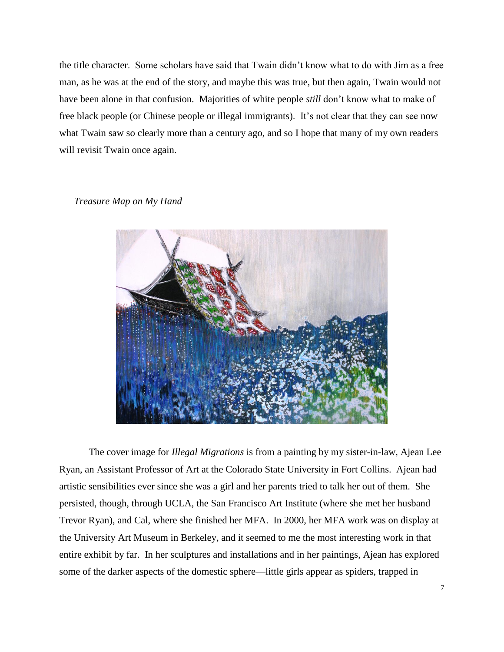the title character. Some scholars have said that Twain didn't know what to do with Jim as a free man, as he was at the end of the story, and maybe this was true, but then again, Twain would not have been alone in that confusion. Majorities of white people *still* don't know what to make of free black people (or Chinese people or illegal immigrants). It's not clear that they can see now what Twain saw so clearly more than a century ago, and so I hope that many of my own readers will revisit Twain once again.

*Treasure Map on My Hand*



The cover image for *Illegal Migrations* is from a painting by my sister-in-law, Ajean Lee Ryan, an Assistant Professor of Art at the Colorado State University in Fort Collins. Ajean had artistic sensibilities ever since she was a girl and her parents tried to talk her out of them. She persisted, though, through UCLA, the San Francisco Art Institute (where she met her husband Trevor Ryan), and Cal, where she finished her MFA. In 2000, her MFA work was on display at the University Art Museum in Berkeley, and it seemed to me the most interesting work in that entire exhibit by far. In her sculptures and installations and in her paintings, Ajean has explored some of the darker aspects of the domestic sphere—little girls appear as spiders, trapped in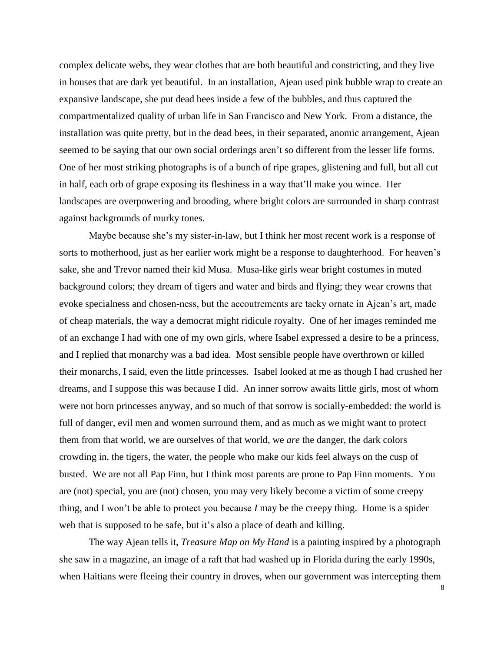complex delicate webs, they wear clothes that are both beautiful and constricting, and they live in houses that are dark yet beautiful. In an installation, Ajean used pink bubble wrap to create an expansive landscape, she put dead bees inside a few of the bubbles, and thus captured the compartmentalized quality of urban life in San Francisco and New York. From a distance, the installation was quite pretty, but in the dead bees, in their separated, anomic arrangement, Ajean seemed to be saying that our own social orderings aren't so different from the lesser life forms. One of her most striking photographs is of a bunch of ripe grapes, glistening and full, but all cut in half, each orb of grape exposing its fleshiness in a way that'll make you wince. Her landscapes are overpowering and brooding, where bright colors are surrounded in sharp contrast against backgrounds of murky tones.

Maybe because she's my sister-in-law, but I think her most recent work is a response of sorts to motherhood, just as her earlier work might be a response to daughterhood. For heaven's sake, she and Trevor named their kid Musa. Musa-like girls wear bright costumes in muted background colors; they dream of tigers and water and birds and flying; they wear crowns that evoke specialness and chosen-ness, but the accoutrements are tacky ornate in Ajean's art, made of cheap materials, the way a democrat might ridicule royalty. One of her images reminded me of an exchange I had with one of my own girls, where Isabel expressed a desire to be a princess, and I replied that monarchy was a bad idea. Most sensible people have overthrown or killed their monarchs, I said, even the little princesses. Isabel looked at me as though I had crushed her dreams, and I suppose this was because I did. An inner sorrow awaits little girls, most of whom were not born princesses anyway, and so much of that sorrow is socially-embedded: the world is full of danger, evil men and women surround them, and as much as we might want to protect them from that world, we are ourselves of that world, we *are* the danger, the dark colors crowding in, the tigers, the water, the people who make our kids feel always on the cusp of busted. We are not all Pap Finn, but I think most parents are prone to Pap Finn moments. You are (not) special, you are (not) chosen, you may very likely become a victim of some creepy thing, and I won't be able to protect you because *I* may be the creepy thing. Home is a spider web that is supposed to be safe, but it's also a place of death and killing.

The way Ajean tells it, *Treasure Map on My Hand* is a painting inspired by a photograph she saw in a magazine, an image of a raft that had washed up in Florida during the early 1990s, when Haitians were fleeing their country in droves, when our government was intercepting them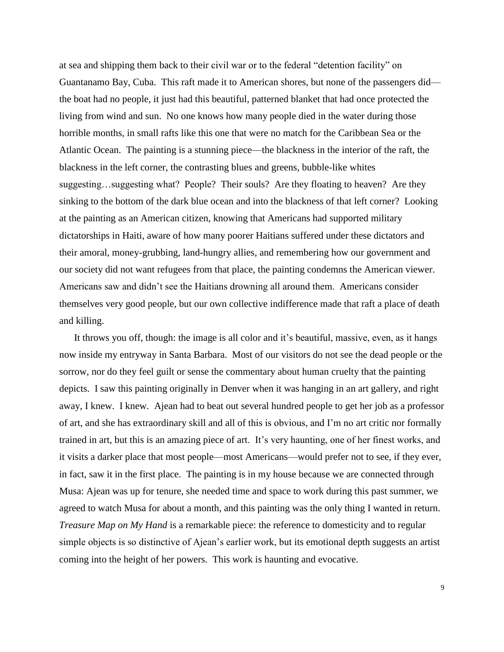at sea and shipping them back to their civil war or to the federal "detention facility" on Guantanamo Bay, Cuba. This raft made it to American shores, but none of the passengers did the boat had no people, it just had this beautiful, patterned blanket that had once protected the living from wind and sun. No one knows how many people died in the water during those horrible months, in small rafts like this one that were no match for the Caribbean Sea or the Atlantic Ocean. The painting is a stunning piece—the blackness in the interior of the raft, the blackness in the left corner, the contrasting blues and greens, bubble-like whites suggesting…suggesting what? People? Their souls? Are they floating to heaven? Are they sinking to the bottom of the dark blue ocean and into the blackness of that left corner? Looking at the painting as an American citizen, knowing that Americans had supported military dictatorships in Haiti, aware of how many poorer Haitians suffered under these dictators and their amoral, money-grubbing, land-hungry allies, and remembering how our government and our society did not want refugees from that place, the painting condemns the American viewer. Americans saw and didn't see the Haitians drowning all around them. Americans consider themselves very good people, but our own collective indifference made that raft a place of death and killing.

It throws you off, though: the image is all color and it's beautiful, massive, even, as it hangs now inside my entryway in Santa Barbara. Most of our visitors do not see the dead people or the sorrow, nor do they feel guilt or sense the commentary about human cruelty that the painting depicts. I saw this painting originally in Denver when it was hanging in an art gallery, and right away, I knew. I knew. Ajean had to beat out several hundred people to get her job as a professor of art, and she has extraordinary skill and all of this is obvious, and I'm no art critic nor formally trained in art, but this is an amazing piece of art. It's very haunting, one of her finest works, and it visits a darker place that most people—most Americans—would prefer not to see, if they ever, in fact, saw it in the first place. The painting is in my house because we are connected through Musa: Ajean was up for tenure, she needed time and space to work during this past summer, we agreed to watch Musa for about a month, and this painting was the only thing I wanted in return. *Treasure Map on My Hand* is a remarkable piece: the reference to domesticity and to regular simple objects is so distinctive of Ajean's earlier work, but its emotional depth suggests an artist coming into the height of her powers. This work is haunting and evocative.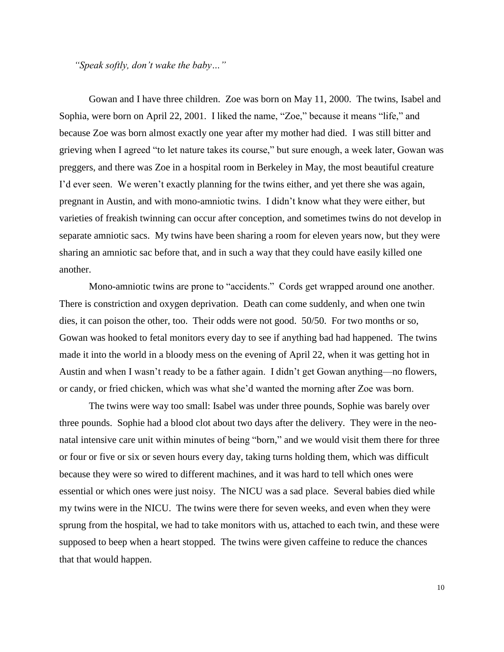*"Speak softly, don't wake the baby…"*

Gowan and I have three children. Zoe was born on May 11, 2000. The twins, Isabel and Sophia, were born on April 22, 2001. I liked the name, "Zoe," because it means "life," and because Zoe was born almost exactly one year after my mother had died. I was still bitter and grieving when I agreed "to let nature takes its course," but sure enough, a week later, Gowan was preggers, and there was Zoe in a hospital room in Berkeley in May, the most beautiful creature I'd ever seen. We weren't exactly planning for the twins either, and yet there she was again, pregnant in Austin, and with mono-amniotic twins. I didn't know what they were either, but varieties of freakish twinning can occur after conception, and sometimes twins do not develop in separate amniotic sacs. My twins have been sharing a room for eleven years now, but they were sharing an amniotic sac before that, and in such a way that they could have easily killed one another.

Mono-amniotic twins are prone to "accidents." Cords get wrapped around one another. There is constriction and oxygen deprivation. Death can come suddenly, and when one twin dies, it can poison the other, too. Their odds were not good. 50/50. For two months or so, Gowan was hooked to fetal monitors every day to see if anything bad had happened. The twins made it into the world in a bloody mess on the evening of April 22, when it was getting hot in Austin and when I wasn't ready to be a father again. I didn't get Gowan anything—no flowers, or candy, or fried chicken, which was what she'd wanted the morning after Zoe was born.

The twins were way too small: Isabel was under three pounds, Sophie was barely over three pounds. Sophie had a blood clot about two days after the delivery. They were in the neonatal intensive care unit within minutes of being "born," and we would visit them there for three or four or five or six or seven hours every day, taking turns holding them, which was difficult because they were so wired to different machines, and it was hard to tell which ones were essential or which ones were just noisy. The NICU was a sad place. Several babies died while my twins were in the NICU. The twins were there for seven weeks, and even when they were sprung from the hospital, we had to take monitors with us, attached to each twin, and these were supposed to beep when a heart stopped. The twins were given caffeine to reduce the chances that that would happen.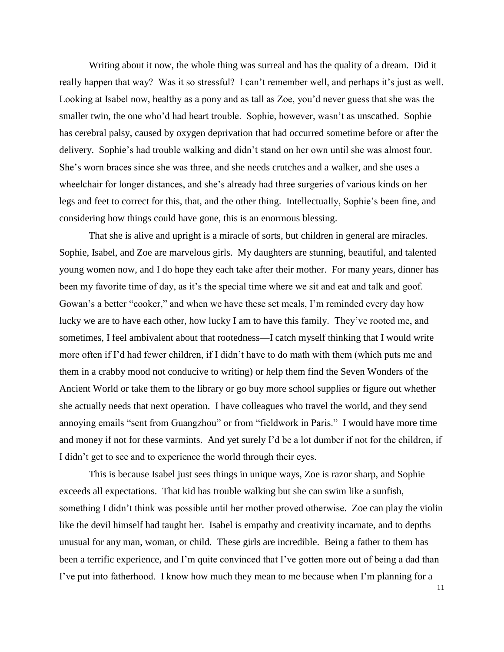Writing about it now, the whole thing was surreal and has the quality of a dream. Did it really happen that way? Was it so stressful? I can't remember well, and perhaps it's just as well. Looking at Isabel now, healthy as a pony and as tall as Zoe, you'd never guess that she was the smaller twin, the one who'd had heart trouble. Sophie, however, wasn't as unscathed. Sophie has cerebral palsy, caused by oxygen deprivation that had occurred sometime before or after the delivery. Sophie's had trouble walking and didn't stand on her own until she was almost four. She's worn braces since she was three, and she needs crutches and a walker, and she uses a wheelchair for longer distances, and she's already had three surgeries of various kinds on her legs and feet to correct for this, that, and the other thing. Intellectually, Sophie's been fine, and considering how things could have gone, this is an enormous blessing.

That she is alive and upright is a miracle of sorts, but children in general are miracles. Sophie, Isabel, and Zoe are marvelous girls. My daughters are stunning, beautiful, and talented young women now, and I do hope they each take after their mother. For many years, dinner has been my favorite time of day, as it's the special time where we sit and eat and talk and goof. Gowan's a better "cooker," and when we have these set meals, I'm reminded every day how lucky we are to have each other, how lucky I am to have this family. They've rooted me, and sometimes, I feel ambivalent about that rootedness—I catch myself thinking that I would write more often if I'd had fewer children, if I didn't have to do math with them (which puts me and them in a crabby mood not conducive to writing) or help them find the Seven Wonders of the Ancient World or take them to the library or go buy more school supplies or figure out whether she actually needs that next operation. I have colleagues who travel the world, and they send annoying emails "sent from Guangzhou" or from "fieldwork in Paris." I would have more time and money if not for these varmints. And yet surely I'd be a lot dumber if not for the children, if I didn't get to see and to experience the world through their eyes.

This is because Isabel just sees things in unique ways, Zoe is razor sharp, and Sophie exceeds all expectations. That kid has trouble walking but she can swim like a sunfish, something I didn't think was possible until her mother proved otherwise. Zoe can play the violin like the devil himself had taught her. Isabel is empathy and creativity incarnate, and to depths unusual for any man, woman, or child. These girls are incredible. Being a father to them has been a terrific experience, and I'm quite convinced that I've gotten more out of being a dad than I've put into fatherhood. I know how much they mean to me because when I'm planning for a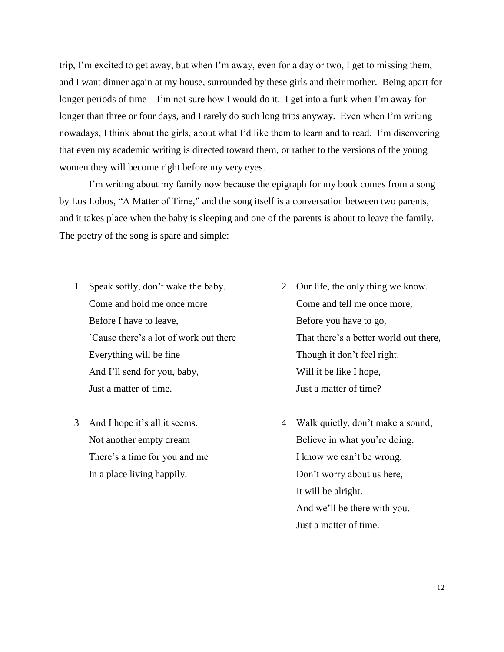trip, I'm excited to get away, but when I'm away, even for a day or two, I get to missing them, and I want dinner again at my house, surrounded by these girls and their mother. Being apart for longer periods of time—I'm not sure how I would do it. I get into a funk when I'm away for longer than three or four days, and I rarely do such long trips anyway. Even when I'm writing nowadays, I think about the girls, about what I'd like them to learn and to read. I'm discovering that even my academic writing is directed toward them, or rather to the versions of the young women they will become right before my very eyes.

I'm writing about my family now because the epigraph for my book comes from a song by Los Lobos, "A Matter of Time," and the song itself is a conversation between two parents, and it takes place when the baby is sleeping and one of the parents is about to leave the family. The poetry of the song is spare and simple:

- 1 Speak softly, don't wake the baby. 2 Our life, the only thing we know. Come and hold me once more Come and tell me once more, Before I have to leave, Before you have to go, Everything will be fine Though it don't feel right. And I'll send for you, baby, Will it be like I hope, Just a matter of time. Just a matter of time?
- 
- 'Cause there's a lot of work out there That there's a better world out there,
- 3 And I hope it's all it seems. 4 Walk quietly, don't make a sound, Not another empty dream Believe in what you're doing, There's a time for you and me I know we can't be wrong. In a place living happily. Don't worry about us here, It will be alright. And we'll be there with you, Just a matter of time.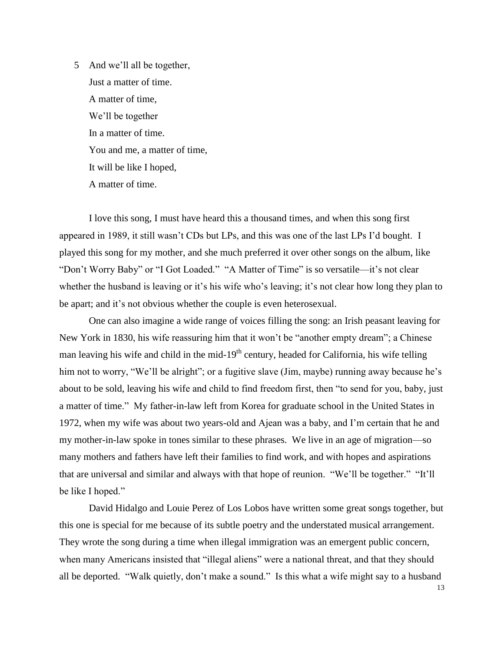5 And we'll all be together, Just a matter of time. A matter of time, We'll be together In a matter of time. You and me, a matter of time, It will be like I hoped, A matter of time.

I love this song, I must have heard this a thousand times, and when this song first appeared in 1989, it still wasn't CDs but LPs, and this was one of the last LPs I'd bought. I played this song for my mother, and she much preferred it over other songs on the album, like "Don't Worry Baby" or "I Got Loaded." "A Matter of Time" is so versatile—it's not clear whether the husband is leaving or it's his wife who's leaving; it's not clear how long they plan to be apart; and it's not obvious whether the couple is even heterosexual.

One can also imagine a wide range of voices filling the song: an Irish peasant leaving for New York in 1830, his wife reassuring him that it won't be "another empty dream"; a Chinese man leaving his wife and child in the mid-19<sup>th</sup> century, headed for California, his wife telling him not to worry, "We'll be alright"; or a fugitive slave (Jim, maybe) running away because he's about to be sold, leaving his wife and child to find freedom first, then "to send for you, baby, just a matter of time." My father-in-law left from Korea for graduate school in the United States in 1972, when my wife was about two years-old and Ajean was a baby, and I'm certain that he and my mother-in-law spoke in tones similar to these phrases. We live in an age of migration—so many mothers and fathers have left their families to find work, and with hopes and aspirations that are universal and similar and always with that hope of reunion. "We'll be together." "It'll be like I hoped."

David Hidalgo and Louie Perez of Los Lobos have written some great songs together, but this one is special for me because of its subtle poetry and the understated musical arrangement. They wrote the song during a time when illegal immigration was an emergent public concern, when many Americans insisted that "illegal aliens" were a national threat, and that they should all be deported. "Walk quietly, don't make a sound." Is this what a wife might say to a husband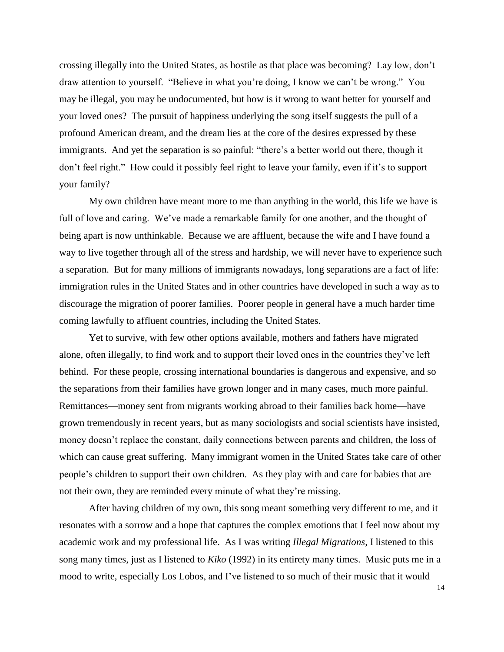crossing illegally into the United States, as hostile as that place was becoming? Lay low, don't draw attention to yourself. "Believe in what you're doing, I know we can't be wrong." You may be illegal, you may be undocumented, but how is it wrong to want better for yourself and your loved ones? The pursuit of happiness underlying the song itself suggests the pull of a profound American dream, and the dream lies at the core of the desires expressed by these immigrants. And yet the separation is so painful: "there's a better world out there, though it don't feel right." How could it possibly feel right to leave your family, even if it's to support your family?

My own children have meant more to me than anything in the world, this life we have is full of love and caring. We've made a remarkable family for one another, and the thought of being apart is now unthinkable. Because we are affluent, because the wife and I have found a way to live together through all of the stress and hardship, we will never have to experience such a separation. But for many millions of immigrants nowadays, long separations are a fact of life: immigration rules in the United States and in other countries have developed in such a way as to discourage the migration of poorer families. Poorer people in general have a much harder time coming lawfully to affluent countries, including the United States.

Yet to survive, with few other options available, mothers and fathers have migrated alone, often illegally, to find work and to support their loved ones in the countries they've left behind. For these people, crossing international boundaries is dangerous and expensive, and so the separations from their families have grown longer and in many cases, much more painful. Remittances—money sent from migrants working abroad to their families back home—have grown tremendously in recent years, but as many sociologists and social scientists have insisted, money doesn't replace the constant, daily connections between parents and children, the loss of which can cause great suffering. Many immigrant women in the United States take care of other people's children to support their own children. As they play with and care for babies that are not their own, they are reminded every minute of what they're missing.

After having children of my own, this song meant something very different to me, and it resonates with a sorrow and a hope that captures the complex emotions that I feel now about my academic work and my professional life. As I was writing *Illegal Migrations,* I listened to this song many times, just as I listened to *Kiko* (1992) in its entirety many times. Music puts me in a mood to write, especially Los Lobos, and I've listened to so much of their music that it would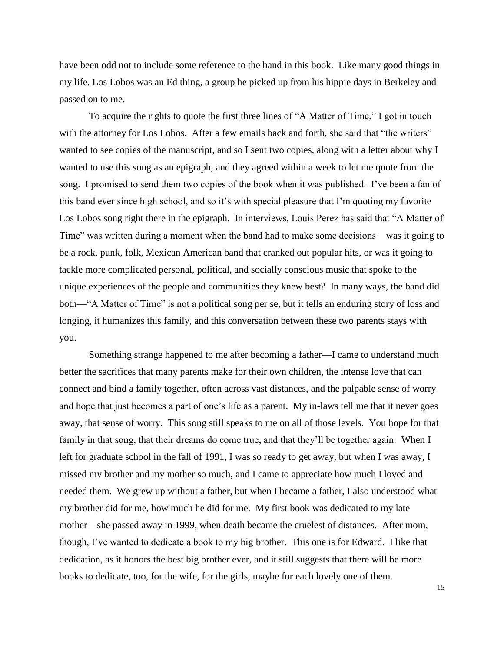have been odd not to include some reference to the band in this book. Like many good things in my life, Los Lobos was an Ed thing, a group he picked up from his hippie days in Berkeley and passed on to me.

To acquire the rights to quote the first three lines of "A Matter of Time," I got in touch with the attorney for Los Lobos. After a few emails back and forth, she said that "the writers" wanted to see copies of the manuscript, and so I sent two copies, along with a letter about why I wanted to use this song as an epigraph, and they agreed within a week to let me quote from the song. I promised to send them two copies of the book when it was published. I've been a fan of this band ever since high school, and so it's with special pleasure that I'm quoting my favorite Los Lobos song right there in the epigraph. In interviews, Louis Perez has said that "A Matter of Time" was written during a moment when the band had to make some decisions—was it going to be a rock, punk, folk, Mexican American band that cranked out popular hits, or was it going to tackle more complicated personal, political, and socially conscious music that spoke to the unique experiences of the people and communities they knew best? In many ways, the band did both—"A Matter of Time" is not a political song per se, but it tells an enduring story of loss and longing, it humanizes this family, and this conversation between these two parents stays with you.

Something strange happened to me after becoming a father—I came to understand much better the sacrifices that many parents make for their own children, the intense love that can connect and bind a family together, often across vast distances, and the palpable sense of worry and hope that just becomes a part of one's life as a parent. My in-laws tell me that it never goes away, that sense of worry. This song still speaks to me on all of those levels. You hope for that family in that song, that their dreams do come true, and that they'll be together again. When I left for graduate school in the fall of 1991, I was so ready to get away, but when I was away, I missed my brother and my mother so much, and I came to appreciate how much I loved and needed them. We grew up without a father, but when I became a father, I also understood what my brother did for me, how much he did for me. My first book was dedicated to my late mother—she passed away in 1999, when death became the cruelest of distances. After mom, though, I've wanted to dedicate a book to my big brother. This one is for Edward. I like that dedication, as it honors the best big brother ever, and it still suggests that there will be more books to dedicate, too, for the wife, for the girls, maybe for each lovely one of them.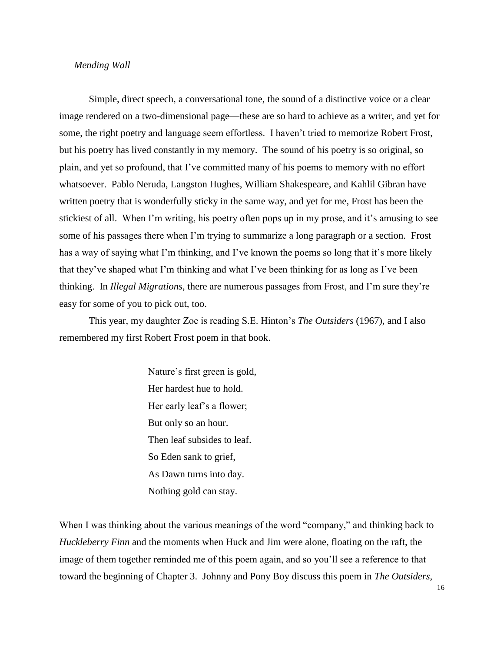## *Mending Wall*

Simple, direct speech, a conversational tone, the sound of a distinctive voice or a clear image rendered on a two-dimensional page—these are so hard to achieve as a writer, and yet for some, the right poetry and language seem effortless. I haven't tried to memorize Robert Frost, but his poetry has lived constantly in my memory. The sound of his poetry is so original, so plain, and yet so profound, that I've committed many of his poems to memory with no effort whatsoever. Pablo Neruda, Langston Hughes, William Shakespeare, and Kahlil Gibran have written poetry that is wonderfully sticky in the same way, and yet for me, Frost has been the stickiest of all. When I'm writing, his poetry often pops up in my prose, and it's amusing to see some of his passages there when I'm trying to summarize a long paragraph or a section. Frost has a way of saying what I'm thinking, and I've known the poems so long that it's more likely that they've shaped what I'm thinking and what I've been thinking for as long as I've been thinking. In *Illegal Migrations*, there are numerous passages from Frost, and I'm sure they're easy for some of you to pick out, too.

This year, my daughter Zoe is reading S.E. Hinton's *The Outsiders* (1967), and I also remembered my first Robert Frost poem in that book.

> Nature's first green is gold, Her hardest hue to hold. Her early leaf's a flower; But only so an hour. Then leaf subsides to leaf. So Eden sank to grief, As Dawn turns into day. Nothing gold can stay.

When I was thinking about the various meanings of the word "company," and thinking back to *Huckleberry Finn* and the moments when Huck and Jim were alone, floating on the raft, the image of them together reminded me of this poem again, and so you'll see a reference to that toward the beginning of Chapter 3. Johnny and Pony Boy discuss this poem in *The Outsiders*,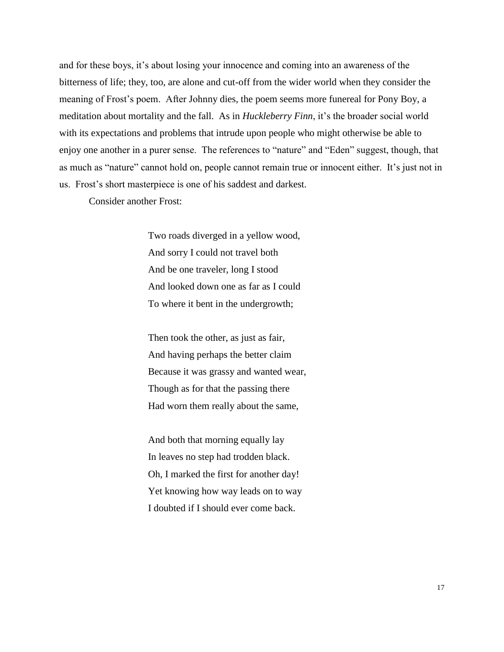and for these boys, it's about losing your innocence and coming into an awareness of the bitterness of life; they, too, are alone and cut-off from the wider world when they consider the meaning of Frost's poem. After Johnny dies, the poem seems more funereal for Pony Boy, a meditation about mortality and the fall. As in *Huckleberry Finn*, it's the broader social world with its expectations and problems that intrude upon people who might otherwise be able to enjoy one another in a purer sense. The references to "nature" and "Eden" suggest, though, that as much as "nature" cannot hold on, people cannot remain true or innocent either. It's just not in us. Frost's short masterpiece is one of his saddest and darkest.

Consider another Frost:

Two roads diverged in a yellow wood, And sorry I could not travel both And be one traveler, long I stood And looked down one as far as I could To where it bent in the undergrowth;

Then took the other, as just as fair, And having perhaps the better claim Because it was grassy and wanted wear, Though as for that the passing there Had worn them really about the same,

And both that morning equally lay In leaves no step had trodden black. Oh, I marked the first for another day! Yet knowing how way leads on to way I doubted if I should ever come back.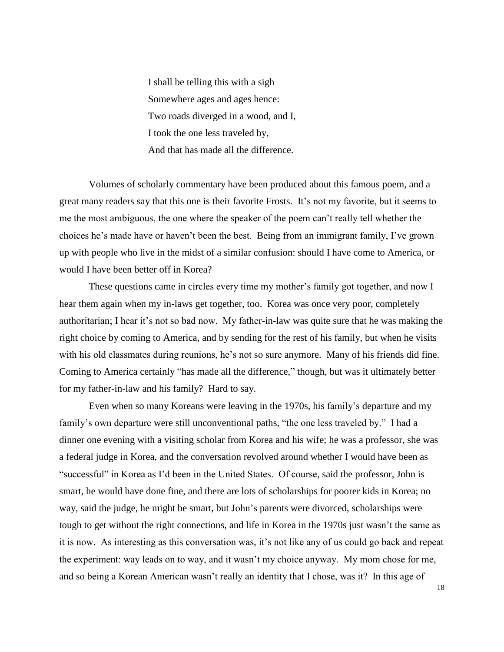I shall be telling this with a sigh Somewhere ages and ages hence: Two roads diverged in a wood, and I, I took the one less traveled by, And that has made all the difference.

Volumes of scholarly commentary have been produced about this famous poem, and a great many readers say that this one is their favorite Frosts. It's not my favorite, but it seems to me the most ambiguous, the one where the speaker of the poem can't really tell whether the choices he's made have or haven't been the best. Being from an immigrant family, I've grown up with people who live in the midst of a similar confusion: should I have come to America, or would I have been better off in Korea?

These questions came in circles every time my mother's family got together, and now I hear them again when my in-laws get together, too. Korea was once very poor, completely authoritarian; I hear it's not so bad now. My father-in-law was quite sure that he was making the right choice by coming to America, and by sending for the rest of his family, but when he visits with his old classmates during reunions, he's not so sure anymore. Many of his friends did fine. Coming to America certainly "has made all the difference," though, but was it ultimately better for my father-in-law and his family? Hard to say.

Even when so many Koreans were leaving in the 1970s, his family's departure and my family's own departure were still unconventional paths, "the one less traveled by." I had a dinner one evening with a visiting scholar from Korea and his wife; he was a professor, she was a federal judge in Korea, and the conversation revolved around whether I would have been as "successful" in Korea as I'd been in the United States. Of course, said the professor, John is smart, he would have done fine, and there are lots of scholarships for poorer kids in Korea; no way, said the judge, he might be smart, but John's parents were divorced, scholarships were tough to get without the right connections, and life in Korea in the 1970s just wasn't the same as it is now. As interesting as this conversation was, it's not like any of us could go back and repeat the experiment: way leads on to way, and it wasn't my choice anyway. My mom chose for me, and so being a Korean American wasn't really an identity that I chose, was it? In this age of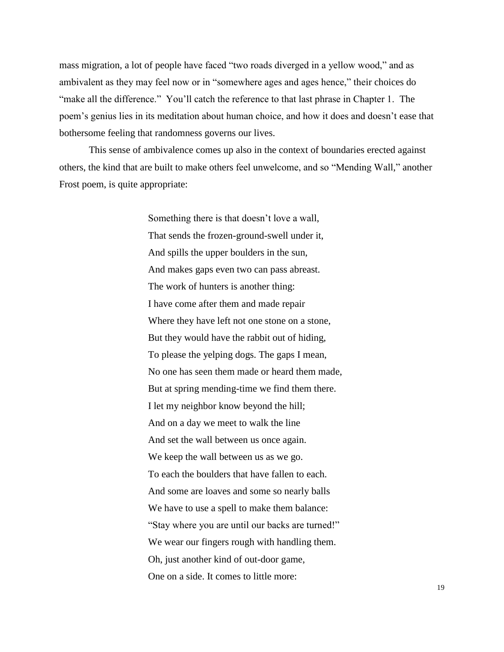mass migration, a lot of people have faced "two roads diverged in a yellow wood," and as ambivalent as they may feel now or in "somewhere ages and ages hence," their choices do "make all the difference." You'll catch the reference to that last phrase in Chapter 1. The poem's genius lies in its meditation about human choice, and how it does and doesn't ease that bothersome feeling that randomness governs our lives.

This sense of ambivalence comes up also in the context of boundaries erected against others, the kind that are built to make others feel unwelcome, and so "Mending Wall," another Frost poem, is quite appropriate:

> Something there is that doesn't love a wall, That sends the frozen-ground-swell under it, And spills the upper boulders in the sun, And makes gaps even two can pass abreast. The work of hunters is another thing: I have come after them and made repair Where they have left not one stone on a stone, But they would have the rabbit out of hiding, To please the yelping dogs. The gaps I mean, No one has seen them made or heard them made, But at spring mending-time we find them there. I let my neighbor know beyond the hill; And on a day we meet to walk the line And set the wall between us once again. We keep the wall between us as we go. To each the boulders that have fallen to each. And some are loaves and some so nearly balls We have to use a spell to make them balance: "Stay where you are until our backs are turned!" We wear our fingers rough with handling them. Oh, just another kind of out-door game, One on a side. It comes to little more: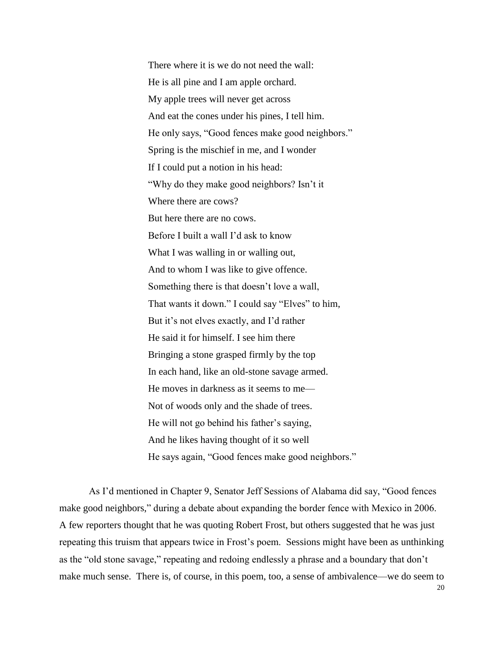There where it is we do not need the wall: He is all pine and I am apple orchard. My apple trees will never get across And eat the cones under his pines, I tell him. He only says, "Good fences make good neighbors." Spring is the mischief in me, and I wonder If I could put a notion in his head: "Why do they make good neighbors? Isn't it Where there are cows? But here there are no cows. Before I built a wall I'd ask to know What I was walling in or walling out, And to whom I was like to give offence. Something there is that doesn't love a wall, That wants it down." I could say "Elves" to him, But it's not elves exactly, and I'd rather He said it for himself. I see him there Bringing a stone grasped firmly by the top In each hand, like an old-stone savage armed. He moves in darkness as it seems to me— Not of woods only and the shade of trees. He will not go behind his father's saying, And he likes having thought of it so well He says again, "Good fences make good neighbors."

As I'd mentioned in Chapter 9, Senator Jeff Sessions of Alabama did say, "Good fences make good neighbors," during a debate about expanding the border fence with Mexico in 2006. A few reporters thought that he was quoting Robert Frost, but others suggested that he was just repeating this truism that appears twice in Frost's poem. Sessions might have been as unthinking as the "old stone savage," repeating and redoing endlessly a phrase and a boundary that don't make much sense. There is, of course, in this poem, too, a sense of ambivalence—we do seem to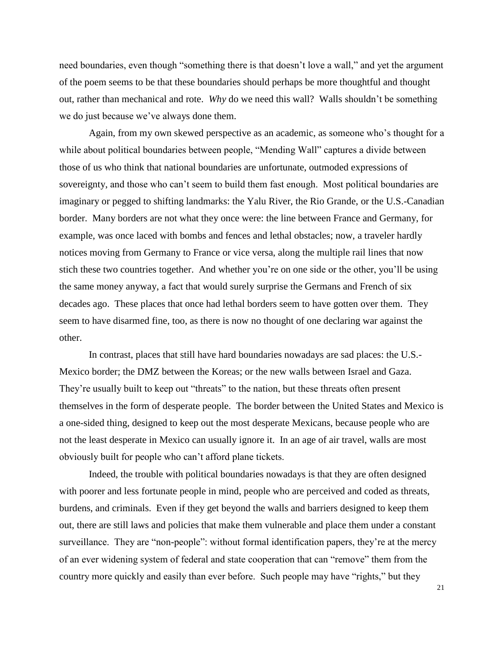need boundaries, even though "something there is that doesn't love a wall," and yet the argument of the poem seems to be that these boundaries should perhaps be more thoughtful and thought out, rather than mechanical and rote. *Why* do we need this wall? Walls shouldn't be something we do just because we've always done them.

Again, from my own skewed perspective as an academic, as someone who's thought for a while about political boundaries between people, "Mending Wall" captures a divide between those of us who think that national boundaries are unfortunate, outmoded expressions of sovereignty, and those who can't seem to build them fast enough. Most political boundaries are imaginary or pegged to shifting landmarks: the Yalu River, the Rio Grande, or the U.S.-Canadian border. Many borders are not what they once were: the line between France and Germany, for example, was once laced with bombs and fences and lethal obstacles; now, a traveler hardly notices moving from Germany to France or vice versa, along the multiple rail lines that now stich these two countries together. And whether you're on one side or the other, you'll be using the same money anyway, a fact that would surely surprise the Germans and French of six decades ago. These places that once had lethal borders seem to have gotten over them. They seem to have disarmed fine, too, as there is now no thought of one declaring war against the other.

In contrast, places that still have hard boundaries nowadays are sad places: the U.S.- Mexico border; the DMZ between the Koreas; or the new walls between Israel and Gaza. They're usually built to keep out "threats" to the nation, but these threats often present themselves in the form of desperate people. The border between the United States and Mexico is a one-sided thing, designed to keep out the most desperate Mexicans, because people who are not the least desperate in Mexico can usually ignore it. In an age of air travel, walls are most obviously built for people who can't afford plane tickets.

Indeed, the trouble with political boundaries nowadays is that they are often designed with poorer and less fortunate people in mind, people who are perceived and coded as threats, burdens, and criminals. Even if they get beyond the walls and barriers designed to keep them out, there are still laws and policies that make them vulnerable and place them under a constant surveillance. They are "non-people": without formal identification papers, they're at the mercy of an ever widening system of federal and state cooperation that can "remove" them from the country more quickly and easily than ever before. Such people may have "rights," but they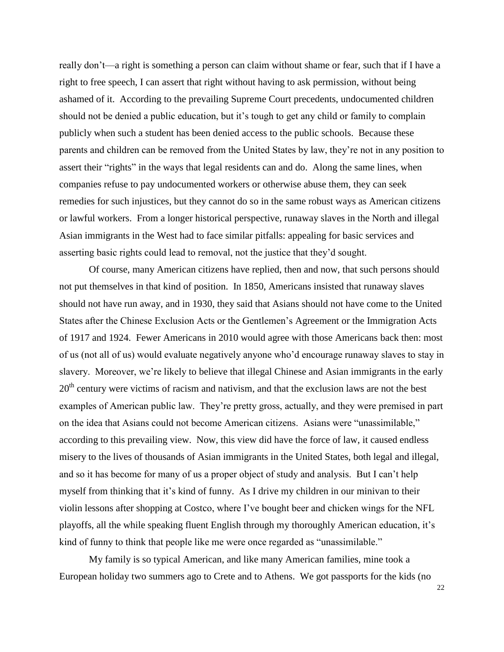really don't—a right is something a person can claim without shame or fear, such that if I have a right to free speech, I can assert that right without having to ask permission, without being ashamed of it. According to the prevailing Supreme Court precedents, undocumented children should not be denied a public education, but it's tough to get any child or family to complain publicly when such a student has been denied access to the public schools. Because these parents and children can be removed from the United States by law, they're not in any position to assert their "rights" in the ways that legal residents can and do. Along the same lines, when companies refuse to pay undocumented workers or otherwise abuse them, they can seek remedies for such injustices, but they cannot do so in the same robust ways as American citizens or lawful workers. From a longer historical perspective, runaway slaves in the North and illegal Asian immigrants in the West had to face similar pitfalls: appealing for basic services and asserting basic rights could lead to removal, not the justice that they'd sought.

Of course, many American citizens have replied, then and now, that such persons should not put themselves in that kind of position. In 1850, Americans insisted that runaway slaves should not have run away, and in 1930, they said that Asians should not have come to the United States after the Chinese Exclusion Acts or the Gentlemen's Agreement or the Immigration Acts of 1917 and 1924. Fewer Americans in 2010 would agree with those Americans back then: most of us (not all of us) would evaluate negatively anyone who'd encourage runaway slaves to stay in slavery. Moreover, we're likely to believe that illegal Chinese and Asian immigrants in the early 20<sup>th</sup> century were victims of racism and nativism, and that the exclusion laws are not the best examples of American public law. They're pretty gross, actually, and they were premised in part on the idea that Asians could not become American citizens. Asians were "unassimilable," according to this prevailing view. Now, this view did have the force of law, it caused endless misery to the lives of thousands of Asian immigrants in the United States, both legal and illegal, and so it has become for many of us a proper object of study and analysis. But I can't help myself from thinking that it's kind of funny. As I drive my children in our minivan to their violin lessons after shopping at Costco, where I've bought beer and chicken wings for the NFL playoffs, all the while speaking fluent English through my thoroughly American education, it's kind of funny to think that people like me were once regarded as "unassimilable."

My family is so typical American, and like many American families, mine took a European holiday two summers ago to Crete and to Athens. We got passports for the kids (no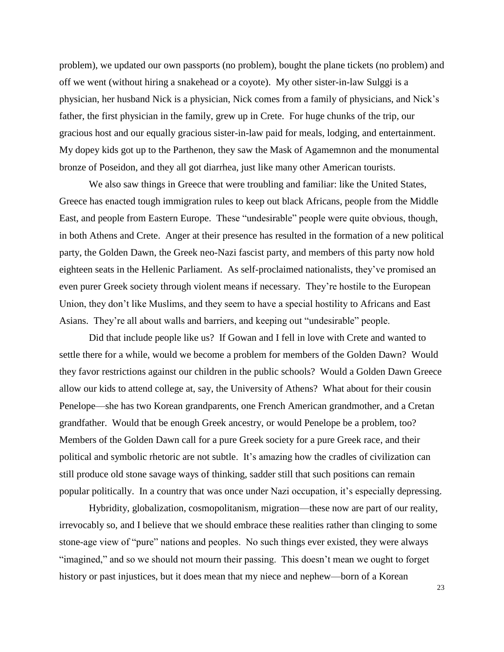problem), we updated our own passports (no problem), bought the plane tickets (no problem) and off we went (without hiring a snakehead or a coyote). My other sister-in-law Sulggi is a physician, her husband Nick is a physician, Nick comes from a family of physicians, and Nick's father, the first physician in the family, grew up in Crete. For huge chunks of the trip, our gracious host and our equally gracious sister-in-law paid for meals, lodging, and entertainment. My dopey kids got up to the Parthenon, they saw the Mask of Agamemnon and the monumental bronze of Poseidon, and they all got diarrhea, just like many other American tourists.

We also saw things in Greece that were troubling and familiar: like the United States, Greece has enacted tough immigration rules to keep out black Africans, people from the Middle East, and people from Eastern Europe. These "undesirable" people were quite obvious, though, in both Athens and Crete. Anger at their presence has resulted in the formation of a new political party, the Golden Dawn, the Greek neo-Nazi fascist party, and members of this party now hold eighteen seats in the Hellenic Parliament. As self-proclaimed nationalists, they've promised an even purer Greek society through violent means if necessary. They're hostile to the European Union, they don't like Muslims, and they seem to have a special hostility to Africans and East Asians. They're all about walls and barriers, and keeping out "undesirable" people.

Did that include people like us? If Gowan and I fell in love with Crete and wanted to settle there for a while, would we become a problem for members of the Golden Dawn? Would they favor restrictions against our children in the public schools? Would a Golden Dawn Greece allow our kids to attend college at, say, the University of Athens? What about for their cousin Penelope—she has two Korean grandparents, one French American grandmother, and a Cretan grandfather. Would that be enough Greek ancestry, or would Penelope be a problem, too? Members of the Golden Dawn call for a pure Greek society for a pure Greek race, and their political and symbolic rhetoric are not subtle. It's amazing how the cradles of civilization can still produce old stone savage ways of thinking, sadder still that such positions can remain popular politically. In a country that was once under Nazi occupation, it's especially depressing.

Hybridity, globalization, cosmopolitanism, migration—these now are part of our reality, irrevocably so, and I believe that we should embrace these realities rather than clinging to some stone-age view of "pure" nations and peoples. No such things ever existed, they were always "imagined," and so we should not mourn their passing. This doesn't mean we ought to forget history or past injustices, but it does mean that my niece and nephew—born of a Korean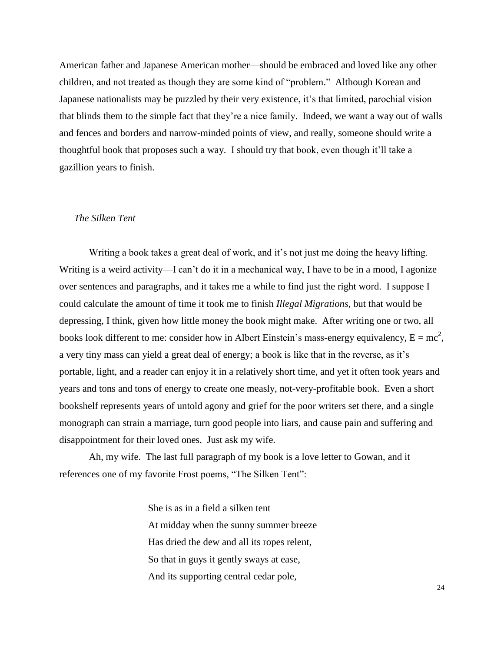American father and Japanese American mother—should be embraced and loved like any other children, and not treated as though they are some kind of "problem." Although Korean and Japanese nationalists may be puzzled by their very existence, it's that limited, parochial vision that blinds them to the simple fact that they're a nice family. Indeed, we want a way out of walls and fences and borders and narrow-minded points of view, and really, someone should write a thoughtful book that proposes such a way. I should try that book, even though it'll take a gazillion years to finish.

## *The Silken Tent*

Writing a book takes a great deal of work, and it's not just me doing the heavy lifting. Writing is a weird activity—I can't do it in a mechanical way, I have to be in a mood, I agonize over sentences and paragraphs, and it takes me a while to find just the right word. I suppose I could calculate the amount of time it took me to finish *Illegal Migrations*, but that would be depressing, I think, given how little money the book might make. After writing one or two, all books look different to me: consider how in Albert Einstein's mass-energy equivalency,  $E = mc^2$ , a very tiny mass can yield a great deal of energy; a book is like that in the reverse, as it's portable, light, and a reader can enjoy it in a relatively short time, and yet it often took years and years and tons and tons of energy to create one measly, not-very-profitable book. Even a short bookshelf represents years of untold agony and grief for the poor writers set there, and a single monograph can strain a marriage, turn good people into liars, and cause pain and suffering and disappointment for their loved ones. Just ask my wife.

Ah, my wife. The last full paragraph of my book is a love letter to Gowan, and it references one of my favorite Frost poems, "The Silken Tent":

> She is as in a field a silken tent At midday when the sunny summer breeze Has dried the dew and all its ropes relent, So that in guys it gently sways at ease, And its supporting central cedar pole,